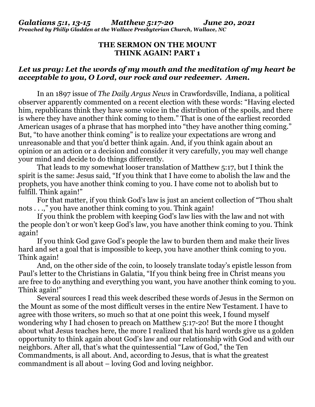## **THE SERMON ON THE MOUNT THINK AGAIN! PART 1**

## *Let us pray: Let the words of my mouth and the meditation of my heart be acceptable to you, O Lord, our rock and our redeemer. Amen.*

 In an 1897 issue of *The Daily Argus News* in Crawfordsville, Indiana, a political observer apparently commented on a recent election with these words: "Having elected him, republicans think they have some voice in the distribution of the spoils, and there is where they have another think coming to them." That is one of the earliest recorded American usages of a phrase that has morphed into "they have another thing coming." But, "to have another think coming" is to realize your expectations are wrong and unreasonable and that you'd better think again. And, if you think again about an opinion or an action or a decision and consider it very carefully, you may well change your mind and decide to do things differently.

 That leads to my somewhat looser translation of Matthew 5:17, but I think the spirit is the same: Jesus said, "If you think that I have come to abolish the law and the prophets, you have another think coming to you. I have come not to abolish but to fulfill. Think again!"

 For that matter, if you think God's law is just an ancient collection of "Thou shalt nots . . .," you have another think coming to you. Think again!

 If you think the problem with keeping God's law lies with the law and not with the people don't or won't keep God's law, you have another think coming to you. Think again!

 If you think God gave God's people the law to burden them and make their lives hard and set a goal that is impossible to keep, you have another think coming to you. Think again!

 And, on the other side of the coin, to loosely translate today's epistle lesson from Paul's letter to the Christians in Galatia, "If you think being free in Christ means you are free to do anything and everything you want, you have another think coming to you. Think again!"

 Several sources I read this week described these words of Jesus in the Sermon on the Mount as some of the most difficult verses in the entire New Testament. I have to agree with those writers, so much so that at one point this week, I found myself wondering why I had chosen to preach on Matthew 5:17-20! But the more I thought about what Jesus teaches here, the more I realized that his hard words give us a golden opportunity to think again about God's law and our relationship with God and with our neighbors. After all, that's what the quintessential "Law of God," the Ten Commandments, is all about. And, according to Jesus, that is what the greatest commandment is all about – loving God and loving neighbor.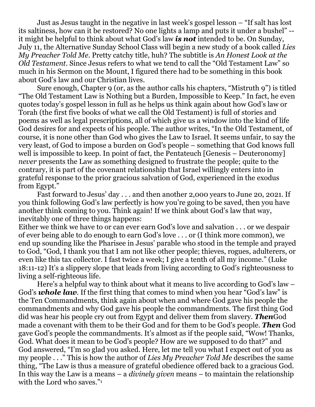Just as Jesus taught in the negative in last week's gospel lesson – "If salt has lost its saltiness, how can it be restored? No one lights a lamp and puts it under a bushel" - it might be helpful to think about what God's law *is not* intended to be. On Sunday, July 11, the Alternative Sunday School Class will begin a new study of a book called *Lies My Preacher Told Me*. Pretty catchy title, huh? The subtitle is *An Honest Look at the Old Testament*. Since Jesus refers to what we tend to call the "Old Testament Law" so much in his Sermon on the Mount, I figured there had to be something in this book about God's law and our Christian lives.

 Sure enough, Chapter 9 (or, as the author calls his chapters, "Mistruth 9") is titled "The Old Testament Law is Nothing but a Burden, Impossible to Keep." In fact, he even quotes today's gospel lesson in full as he helps us think again about how God's law or Torah (the first five books of what we call the Old Testament) is full of stories and poems as well as legal prescriptions, all of which give us a window into the kind of life God desires for and expects of his people. The author writes, "In the Old Testament, of course, it is none other than God who gives the Law to Israel. It seems unfair, to say the very least, of God to impose a burden on God's people – something that God knows full well is impossible to keep. In point of fact, the Pentateuch [Genesis – Deuteronomy] *never* presents the Law as something designed to frustrate the people; quite to the contrary, it is part of the covenant relationship that Israel willingly enters into in grateful response to the prior gracious salvation of God, experienced in the exodus from Egypt."

 Fast forward to Jesus' day . . . and then another 2,000 years to June 20, 2021. If you think following God's law perfectly is how you're going to be saved, then you have another think coming to you. Think again! If we think about God's law that way, inevitably one of three things happens:

Either we think we have to or can ever earn God's love and salvation . . . or we despair of ever being able to do enough to earn God's love . . . or (I think more common), we end up sounding like the Pharisee in Jesus' parable who stood in the temple and prayed to God, "God, I thank you that I am not like other people; thieves, rogues, adulterers, or even like this tax collector. I fast twice a week; I give a tenth of all my income." (Luke 18:11-12) It's a slippery slope that leads from living according to God's righteousness to living a self-righteous life.

 Here's a helpful way to think about what it means to live according to God's law – God's *whole law*. If the first thing that comes to mind when you hear "God's law" is the Ten Commandments, think again about when and where God gave his people the commandments and why God gave his people the commandments. The first thing God did was hear his people cry out from Egypt and deliver them from slavery. *Then*God made a covenant with them to be their God and for them to be God's people. *Then* God gave God's people the commandments. It's almost as if the people said, "Wow! Thanks, God. What does it mean to be God's people? How are we supposed to do that?" and God answered, "I'm so glad you asked. Here, let me tell you what I expect out of you as my people . . ." This is how the author of *Lies My Preacher Told Me* describes the same thing, "The Law is thus a measure of grateful obedience offered back to a gracious God. In this way the Law is a means – a *divinely given* means – to maintain the relationship with the Lord who saves."<sup>1</sup>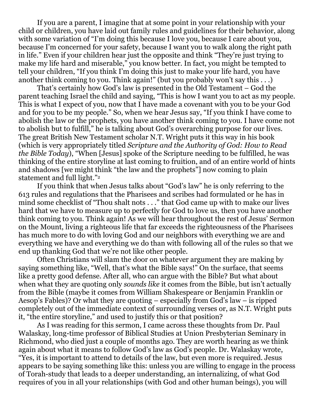If you are a parent, I imagine that at some point in your relationship with your child or children, you have laid out family rules and guidelines for their behavior, along with some variation of "I'm doing this because I love you, because I care about you, because I'm concerned for your safety, because I want you to walk along the right path in life." Even if your children hear just the opposite and think "They're just trying to make my life hard and miserable," you know better. In fact, you might be tempted to tell your children, "If you think I'm doing this just to make your life hard, you have another think coming to you. Think again!" (but you probably won't say this . . .)

 That's certainly how God's law is presented in the Old Testament – God the parent teaching Israel the child and saying, "This is how I want you to act as my people. This is what I expect of you, now that I have made a covenant with you to be your God and for you to be my people." So, when we hear Jesus say, "If you think I have come to abolish the law or the prophets, you have another think coming to you. I have come not to abolish but to fulfill," he is talking about God's overarching purpose for our lives. The great British New Testament scholar N.T. Wright puts it this way in his book (which is very appropriately titled *Scripture and the Authority of God: How to Read the Bible Today*), "When [Jesus] spoke of the Scripture needing to be fulfilled, he was thinking of the entire storyline at last coming to fruition, and of an entire world of hints and shadows [we might think "the law and the prophets"] now coming to plain statement and full light."<sup>2</sup>

 If you think that when Jesus talks about "God's law" he is only referring to the 613 rules and regulations that the Pharisees and scribes had formulated or he has in mind some checklist of "Thou shalt nots . . ." that God came up with to make our lives hard that we have to measure up to perfectly for God to love us, then you have another think coming to you. Think again! As we will hear throughout the rest of Jesus' Sermon on the Mount, living a righteous life that far exceeds the righteousness of the Pharisees has much more to do with loving God and our neighbors with everything we are and everything we have and everything we do than with following all of the rules so that we end up thanking God that we're not like other people.

Often Christians will slam the door on whatever argument they are making by saying something like, "Well, that's what the Bible says!" On the surface, that seems like a pretty good defense. After all, who can argue with the Bible? But what about when what they are quoting only *sounds like* it comes from the Bible, but isn't actually from the Bible (maybe it comes from William Shakespeare or Benjamin Franklin or Aesop's Fables)? Or what they are quoting – especially from God's law – is ripped completely out of the immediate context of surrounding verses or, as N.T. Wright puts it, "the entire storyline," and used to justify this or that position?

 As I was reading for this sermon, I came across these thoughts from Dr. Paul Walaskay, long-time professor of Biblical Studies at Union Presbyterian Seminary in Richmond, who died just a couple of months ago. They are worth hearing as we think again about what it means to follow God's law as God's people. Dr. Walaskay wrote, "Yes, it is important to attend to details of the law, but even more is required. Jesus appears to be saying something like this: unless you are willing to engage in the process of Torah-study that leads to a deeper understanding, an internalizing, of what God requires of you in all your relationships (with God and other human beings), you will